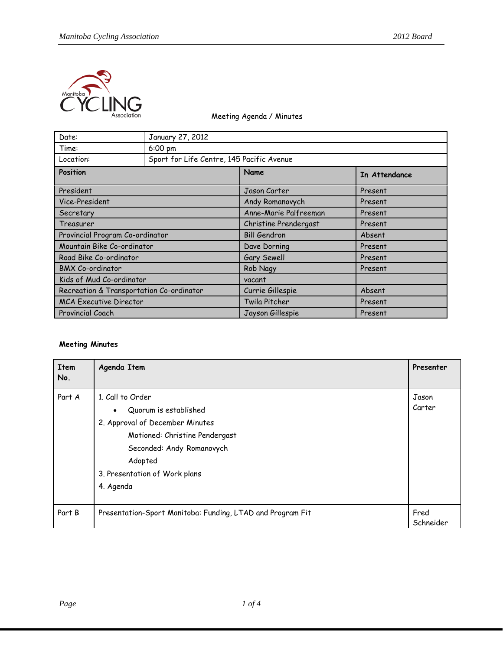

## Meeting Agenda / Minutes

| Date:                                    | January 27, 2012                          |                       |               |  |
|------------------------------------------|-------------------------------------------|-----------------------|---------------|--|
| Time:                                    | $6:00 \text{ pm}$                         |                       |               |  |
| Location:                                | Sport for Life Centre, 145 Pacific Avenue |                       |               |  |
| Position                                 |                                           | Name                  | In Attendance |  |
| President                                |                                           | Jason Carter          | Present       |  |
| Vice-President                           |                                           | Andy Romanovych       | Present       |  |
| Secretary                                |                                           | Anne-Marie Palfreeman | Present       |  |
| Treasurer                                |                                           | Christine Prendergast | Present       |  |
| Provincial Program Co-ordinator          |                                           | <b>Bill Gendron</b>   | Absent        |  |
| Mountain Bike Co-ordinator               |                                           | Dave Dorning          | Present       |  |
| Road Bike Co-ordinator                   |                                           | Gary Sewell           | Present       |  |
| <b>BMX Co-ordinator</b>                  |                                           | Rob Nagy              | Present       |  |
| Kids of Mud Co-ordinator                 |                                           | vacant                |               |  |
| Recreation & Transportation Co-ordinator |                                           | Currie Gillespie      | Absent        |  |
| <b>MCA Executive Director</b>            |                                           | Twila Pitcher         | Present       |  |
| Provincial Coach                         |                                           | Jayson Gillespie      | Present       |  |

## **Meeting Minutes**

| <b>Item</b><br>No. | Agenda Item                                                                                                                                                                                          | Presenter         |
|--------------------|------------------------------------------------------------------------------------------------------------------------------------------------------------------------------------------------------|-------------------|
| Part A             | 1. Call to Order<br>Quorum is established<br>2. Approval of December Minutes<br>Motioned: Christine Pendergast<br>Seconded: Andy Romanovych<br>Adopted<br>3. Presentation of Work plans<br>4. Agenda | Jason<br>Carter   |
| Part B             | Presentation-Sport Manitoba: Funding, LTAD and Program Fit                                                                                                                                           | Fred<br>Schneider |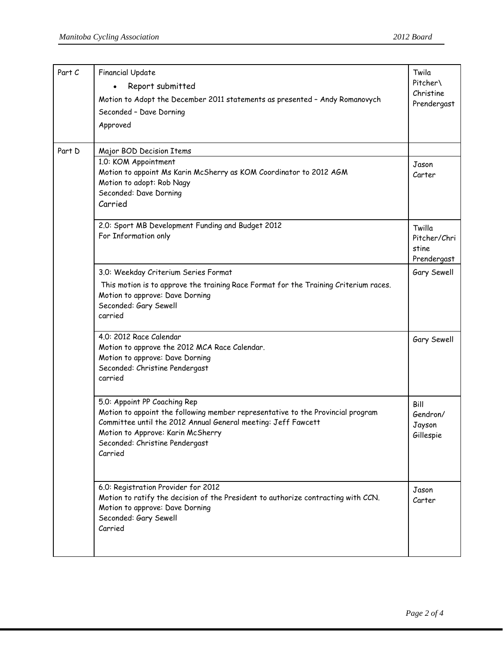| Part C | <b>Financial Update</b><br>Report submitted<br>Motion to Adopt the December 2011 statements as presented - Andy Romanovych<br>Seconded - Dave Dorning<br>Approved                                                                                                  | Twila<br>Pitcher\<br>Christine<br>Prendergast  |
|--------|--------------------------------------------------------------------------------------------------------------------------------------------------------------------------------------------------------------------------------------------------------------------|------------------------------------------------|
| Part D | Major BOD Decision Items                                                                                                                                                                                                                                           |                                                |
|        | 1.0: KOM Appointment<br>Motion to appoint Ms Karin McSherry as KOM Coordinator to 2012 AGM<br>Motion to adopt: Rob Nagy<br>Seconded: Dave Dorning<br>Carried                                                                                                       | Jason<br>Carter                                |
|        | 2.0: Sport MB Development Funding and Budget 2012<br>For Information only                                                                                                                                                                                          | Twilla<br>Pitcher/Chri<br>stine<br>Prendergast |
|        | 3.0: Weekday Criterium Series Format<br>This motion is to approve the training Race Format for the Training Criterium races.<br>Motion to approve: Dave Dorning<br>Seconded: Gary Sewell<br>carried                                                                | Gary Sewell                                    |
|        | 4.0: 2012 Race Calendar<br>Motion to approve the 2012 MCA Race Calendar.<br>Motion to approve: Dave Dorning<br>Seconded: Christine Pendergast<br>carried                                                                                                           | Gary Sewell                                    |
|        | 5.0: Appoint PP Coaching Rep<br>Motion to appoint the following member representative to the Provincial program<br>Committee until the 2012 Annual General meeting: Jeff Fawcett<br>Motion to Approve: Karin McSherry<br>Seconded: Christine Pendergast<br>Carried | Bill<br>Gendron/<br>Jayson<br>Gillespie        |
|        | 6.0: Registration Provider for 2012<br>Motion to ratify the decision of the President to authorize contracting with CCN.<br>Motion to approve: Dave Dorning<br>Seconded: Gary Sewell<br>Carried                                                                    | Jason<br>Carter                                |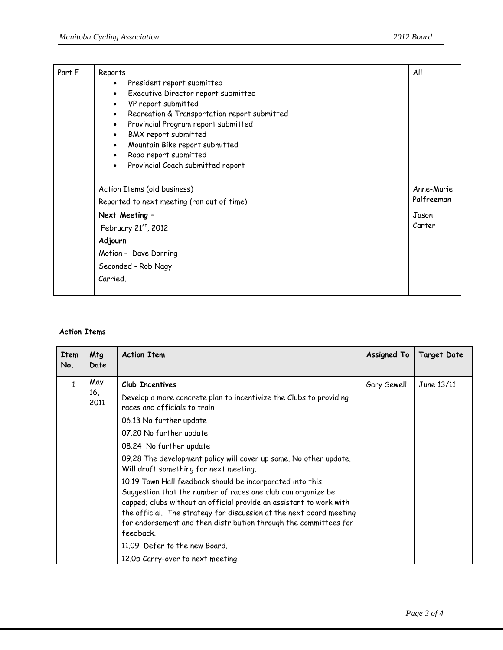| Part E | Reports<br>President report submitted<br>$\bullet$<br>Executive Director report submitted<br>$\bullet$<br>VP report submitted<br>$\bullet$<br>Recreation & Transportation report submitted<br>$\bullet$<br>Provincial Program report submitted<br>$\bullet$<br>BMX report submitted<br>$\bullet$<br>Mountain Bike report submitted<br>$\bullet$<br>Road report submitted<br>$\bullet$<br>Provincial Coach submitted report<br>$\bullet$ | All                      |
|--------|-----------------------------------------------------------------------------------------------------------------------------------------------------------------------------------------------------------------------------------------------------------------------------------------------------------------------------------------------------------------------------------------------------------------------------------------|--------------------------|
|        | Action Items (old business)<br>Reported to next meeting (ran out of time)                                                                                                                                                                                                                                                                                                                                                               | Anne-Marie<br>Palfreeman |
|        |                                                                                                                                                                                                                                                                                                                                                                                                                                         | Jason                    |
|        | Next Meeting -<br>February 21st, 2012<br>Adjourn<br>Motion - Dave Dorning<br>Seconded - Rob Nagy                                                                                                                                                                                                                                                                                                                                        |                          |
|        | Carried.                                                                                                                                                                                                                                                                                                                                                                                                                                |                          |

## **Action Items**

| Item<br>No.  | <b>Mtg</b><br>Date | <b>Action Item</b>                                                                                                                                                                                                                                                                                                                                                                                                                                                                                                                                                                                                                                                                                                                                      | <b>Assigned To</b> | Target Date |
|--------------|--------------------|---------------------------------------------------------------------------------------------------------------------------------------------------------------------------------------------------------------------------------------------------------------------------------------------------------------------------------------------------------------------------------------------------------------------------------------------------------------------------------------------------------------------------------------------------------------------------------------------------------------------------------------------------------------------------------------------------------------------------------------------------------|--------------------|-------------|
| $\mathbf{1}$ | May<br>16,<br>2011 | Club Incentives<br>Develop a more concrete plan to incentivize the Clubs to providing<br>races and officials to train<br>06.13 No further update<br>07.20 No further update<br>08.24 No further update<br>09.28 The development policy will cover up some. No other update.<br>Will draft something for next meeting.<br>10.19 Town Hall feedback should be incorporated into this.<br>Suggestion that the number of races one club can organize be<br>capped; clubs without an official provide an assistant to work with<br>the official. The strategy for discussion at the next board meeting<br>for endorsement and then distribution through the committees for<br>feedback.<br>11.09 Defer to the new Board.<br>12.05 Carry-over to next meeting | Gary Sewell        | June 13/11  |